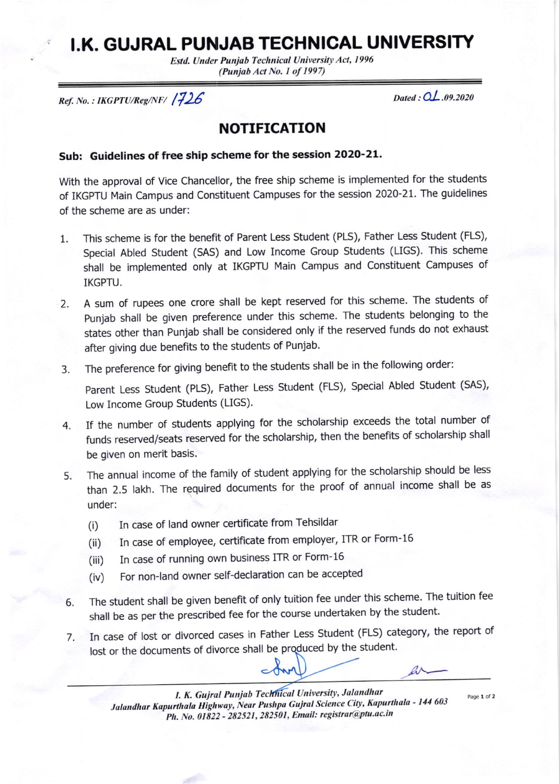## t.K. GUJRAL PUNJAB TECHNICAL UNIVERSITY

Estd. Under Punjab Technical University Act, 1996 (Punjab Act No. 1 of 1997)

 $Ref. No.: IKGPTU/Reg/NF/$   $/726$ 

Dated :  $OL$  .09.2020

## NOTIFICATION

## Sub: Guidelines of free ship scheme for the session 2O2O-2L.

With the approval of Vice Chancellor, the free ship scheme is implemented for the students of IKGPTU Main Campus and Constituent Campuses for the session 2020-21. The guidelines of the scheme are as under:

- $1.$ This scheme is for the benefit of Parent Less Student (PLS), Father Less Student (FLS), Special Abled Student (SAS) and Low Income Group Students (UGS). This scheme shall be implemented only at IKGPTU Main Campus and constituent campuses of IKGPTU.
- $\overline{2}$ . A sum of rupees one crore shall be kept reserved for this scheme. The students of punjab shall be given preference under this scheme. The students belonging to the states other than Punjab shall be considered only if the reserved funds do not exhaust after giving due benefits to the students of Punjab.
- 3. The preference for giving benefit to the students shall be in the following order:

parent Less student (PLS), Father Less student (FLS), special Abled student (sAS), Low Income Group Students (LIGS).

- If the number of students applying for the scholarship exceeds the total number of funds reserved/seats reseryed for the scholarship, then the benefits of scholarship shall be given on merit basis. 4
- The annual income of the family of student applying for the scholarship should be less than 2.5 lakh. The required documents for the proof of annual income shall be as under: 5
	- (i) In case of land owner certificate from Tehsildar
	- (ii) In case of employee, certificate from employer, ITR or Form-16
	- (iii) In case of running own business ITR or Form-16
	- (iv) For non-land owner self-declaration can be accepted
- The student shall be given benefit of only tuition fee under this scheme. The tuition fee shall be as per the prescribed fee for the course undertaken by the student. 6
- In case of lost or divorced cases in Father Less Student (FLS) category, the report of  $7.$ lost or the documents of divorce shall be produced by the student.

 $ar-$ 

Page 1 of 2

I. K. Gujral Punjab Technical University, Jalandhar Jalandhar Kapurthala Highway, Near Pushpa Gujral Science City, Kapurthala - 144 603 Ph. No. 01822 - 282521, 282501, Email: registrar@ptu.ac.in